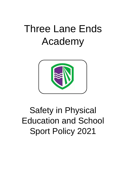# Three Lane Ends Academy



## Safety in Physical Education and School Sport Policy 2021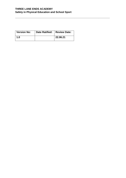#### **THREE LANE ENDS ACADEMY Safety in Physical Education and School Sport**

**\_\_\_\_\_\_\_\_\_\_\_\_\_\_\_\_\_\_\_\_\_\_\_\_\_\_\_\_\_\_\_\_\_\_\_\_\_\_\_\_\_\_\_\_\_\_\_\_\_\_\_\_\_\_\_\_\_\_\_\_\_\_\_\_\_\_\_**

| <b>Version No:</b> | Date Ratified:   Review Date: |          |
|--------------------|-------------------------------|----------|
| 1.0                |                               | 22.06.21 |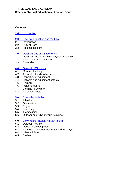#### **THREE LANE ENDS ACADEMY Safety in Physical Education and School Sport**

**\_\_\_\_\_\_\_\_\_\_\_\_\_\_\_\_\_\_\_\_\_\_\_\_\_\_\_\_\_\_\_\_\_\_\_\_\_\_\_\_\_\_\_\_\_\_\_\_\_\_\_\_\_\_\_\_\_\_\_\_\_\_\_\_\_\_\_**

#### **Contents**

- 1.0 [Introduction](#page-3-0)
- 2.0 [Physical Education and the Law](#page-3-1)
- 2.1 Introduction
- 2.2 Duty of Care
- 2.3 Risk assessment

#### 3.0 [Qualifications and Supervision](#page-4-0)

- 3.1 Qualifications for teaching Physical Education
- 3.2 Adults other than teachers
- 3.3 Class sizes

### [4.0 General H&S issues](#page-6-0)<br>4.1 Manual Handling

- Manual Handling
- 4.2 Apparatus handling by pupils
- 4.3 Inspection of equipment
- 4.4 Hazards and equipment defects
- 4.5 First Aid
- 4.6 Incident reports
- 4.7 Clothing / Footwear
- 4.8 Personal effects

#### 5.0 [Specialist Activities](#page-8-0)

- 5.1 Athletics
- 5.2 Gymnastics
- 5.3 Rugby
- 5.4 Swimming
- 5.5 Trampolining
- 5.6 Outdoor and Adventurous Activities
- 6.0 [Early Years Physical Activity \(3-5yrs\)](#page-9-0)
- 6.1 Outdoor Provision
- 6.2 Oudoor play equipment
- 6.3 Play Equipment not recommended for 3-5yrs
- 6.4 Wheeled Toys
- 6.5 Clothing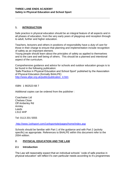#### **THREE LANE ENDS ACADEMY Safety in Physical Education and School Sport**

#### <span id="page-3-0"></span>**1. INTRODUCTION**

Safe practice in physical education should be an integral feature of all aspects and in all phases of education, from the very early years of playgroup and reception through to adult, further and higher education.

**\_\_\_\_\_\_\_\_\_\_\_\_\_\_\_\_\_\_\_\_\_\_\_\_\_\_\_\_\_\_\_\_\_\_\_\_\_\_\_\_\_\_\_\_\_\_\_\_\_\_\_\_\_\_\_\_\_\_\_\_\_\_\_\_\_\_\_**

Teachers, lecturers and others in positions of responsibility have a *duty of care* for those in their charge to ensure that planning and implementation include recognition of safety as an important element.

Young people should learn about the principles of safety as applied to themselves and to the care and well being of others. This should be a planned and intentional aspect of the curriculum.

Comprehensive guidance and advice for schools and outdoor education groups is to be found in the following publication:

'Safe Practice in Physical Education and School Sport' published by the Association of Physical Education (formally BAALPE)

[http://www.afpe.org.uk/public/publication\\_4.htm](http://www.afpe.org.uk/public/publication_4.htm)

ISBN 1 902523 68 7

Additional copies can be ordered from the publisher :

Coachwise Ltd Chelsea Close Off Amberley Rd Armley Leeds LS12 4HP

Tel: 0113 201 5555

<http://www.1st4sport.com/1st4sportsite/pages/home/index.asp>

Schools should be familiar with Part 1 of the guidance and with Part 2 (activity specific) as appropriate. References to BAALPE within this document refer to the 2004 edition.

#### <span id="page-3-1"></span>**2. PHYSICAL EDUCATION AND THE LAW**

#### **2.1 Introduction**

The Law will reasonably expect that an individual schools' 'code of safe practice in physical education' will reflect it's own particular needs according to it's programmes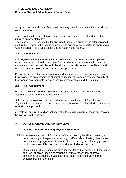and premises, in addition to factors which it may have in common with other similar establishments.

**\_\_\_\_\_\_\_\_\_\_\_\_\_\_\_\_\_\_\_\_\_\_\_\_\_\_\_\_\_\_\_\_\_\_\_\_\_\_\_\_\_\_\_\_\_\_\_\_\_\_\_\_\_\_\_\_\_\_\_\_\_\_\_\_\_\_\_**

The school must declare it's own policies and practices which will reduce risks of injury to an acceptable level.

The Head of PE is responsible for ensuring these are brought to the attention of all staff in the Department, that it is complied with and must co-operate, as appropriate, with the school Health and Safety Co-ordinator in this regard.

#### **2.2 Duty of Care**

*In loco parentis* forms the basis for *duty of care* which all teachers must operate when they have children in their care. This applies to all activities within the school curriculum, to extra-curricular activities during or outside normal school hours and whether undertaken on or away from school premises.

Physical education teachers at primary and secondary levels can greatly improve their policy and safe practice in physical education if they examine very carefully all the working environments in which they place themselves and their pupils.

#### **2.3 Risk Assessment**

Hazards in PE can be reduced through effective management, i.e. by balancing appropriate challenge and acceptable risk.

Schools must create and maintain a risk assessment for each PE work area. Significant hazards and their control measures should also be included in "schemes of work" as appropriate.

All staff working in PE and school sport should be made aware of these findings and be involved in their review.

#### <span id="page-4-0"></span>**3. QUALIFICATIONS AND SUPERVISION**

#### **3.1 Qualifications for teaching Physical Education**

3.1.1 Competence to teach PE may be defined as having the skills, knowledge, understanding and expertise necessary to effectively and safely plan, deliver and evaluate a programme of activities to a class or group of young people in methods approved through regular and accepted good practice.

Qualified individuals should be experienced, trained, assessed and accredited to a level at which those with responsibility may reasonably express confidence of successful outcomes in the planning and delivery of the activities being undertaken.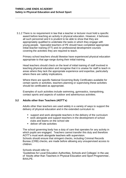3.1.2 There is no requirement in law that a teacher or lecturer must hold a specific award before teaching an activity in physical education. However, it behoves all such personnel and it is prudent to be able to show that they are appropriately qualified to undertake the tasks in which they engage with young people. Specialist teachers of PE should have completed appropriate initial teacher training (ITT) and /or professional development courses covering the activities they are required to teach.

**\_\_\_\_\_\_\_\_\_\_\_\_\_\_\_\_\_\_\_\_\_\_\_\_\_\_\_\_\_\_\_\_\_\_\_\_\_\_\_\_\_\_\_\_\_\_\_\_\_\_\_\_\_\_\_\_\_\_\_\_\_\_\_\_\_\_\_**

Primary school teachers should likewise have experienced physical education appropriate to that age-range during their initial training.

Head teachers should check on the level of initial training of staff involved in teaching physical education and recognise that it is unwise for staff to teach in areas where they lack the appropriate experience and expertise, particularly where there are safety implications.

Where there are specific National Governing Body Certificates available for certain sports or activities, teachers planning or supervising these activities should be certificated as appropriate.

Examples of such activities include swimming, gymnastics, trampolining, contact sports and aspects of outdoor and adventurous activities.

#### **3.2 Adults other than Teachers (AOTT's)**

Adults other than teachers are used widely in a variety of ways to support the delivery of physical education and in the extended curriculum to:

- support and work alongside teachers in the delivery of the curriculum
- work alongside and support teachers in the development of school clubs and teams on the school site
- deliver off-site activities

The school governing body has a duty of care that operates for any activity in which pupils are engaged. Teachers cannot transfer this duty and therefore AOTT's must work alongside teachers with supervision.

Schools should ensure that stringent checks, including Criminal Records Bureau (CRB) checks, are made before allowing any unsupervised access to children.

#### Schools should refer to;

'Guidelines for Local Education Authorities, Schools and Colleges' in the use of 'Adults other than Teachers in Physical Education and Sport Programmes', BAALPE.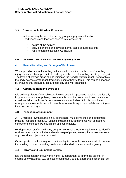#### **3.3 Class sizes in Physical Education**

In determining the size of teaching groups in physical education, Headteachers and teachers need to take account of;

- **nature of the activity**
- age, experience and developmental stage of pupil/students

**\_\_\_\_\_\_\_\_\_\_\_\_\_\_\_\_\_\_\_\_\_\_\_\_\_\_\_\_\_\_\_\_\_\_\_\_\_\_\_\_\_\_\_\_\_\_\_\_\_\_\_\_\_\_\_\_\_\_\_\_\_\_\_\_\_\_\_**

**F** requirements of National Curriculum

#### <span id="page-6-0"></span>**4.0 GENERAL HEALTH AND SAFETY ISSUES IN PE**

#### **4.1 Manual Handling and Storage of Equipment**

Where possible manual handling tasks should be avoided or the risk of handling injury minimised by appropriate task design or the use of handling aids (e.g. trolleys). The layout of storage areas should minimise the need to stretch, reach, bend or twist the body excessively to reach frequently used or heavy items. This can be enhanced by ensuring that storage areas are kept tidy and well organised.

#### **4.2 Apparatus Handling by Pupils**

It is an integral part of the subject to involve pupils in apparatus handling, particularly in gymnastics and trampolining. However this must be carried out in such a way as to reduce risk to pupils as far as is reasonably practicable. Schools must have arrangements to enable pupils to learn how to handle equipment safely according to their age and strength.

#### **4.3 Inspection of Equipment**

All PE facilities (gymnasiums, halls, sports halls, multi-gyms etc.) and equipment must be inspected regularly. Schools must make arrangements with competent contractors to inspect PE equipment at least annually,

PE department staff should carry out pre-use visual checks of equipment to identify obvious defects, this includes a visual sweep of playing areas prior to use to ensure any hazardous objects are removed.

Games posts to be kept in good condition, lighter portable posts secured to prevent them falling over free standing posts secured and all posts checked regularly.

#### **4.4 Hazards and Equipment Defects**

It is the responsibility of everyone in the PE department to inform the teacher in charge of any hazards, e.g. defects to equipment, so that appropriate action can be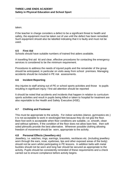taken.

If the teacher in charge considers a defect to be a significant threat to health and safety, the equipment must be taken out of use until the defect has been remedied. Such equipment should also be labelled indicating that it is faulty and must not be used.

**\_\_\_\_\_\_\_\_\_\_\_\_\_\_\_\_\_\_\_\_\_\_\_\_\_\_\_\_\_\_\_\_\_\_\_\_\_\_\_\_\_\_\_\_\_\_\_\_\_\_\_\_\_\_\_\_\_\_\_\_\_\_\_\_\_\_\_**

#### **4.5 First Aid**

Schools should have suitable numbers of trained first aiders available.

A travelling first aid kit and clear, effective procedures for contacting the emergency services is considered to be the minimum requirement.

Procedures to address the needs of injured pupils and the remainder of the group should be anticipated, in particular on visits away from school premises. Managing accidents should be included in PE risk assessments.

#### **4.6 Incident Reporting**

Any injuries to staff arising out of PE or school sports activities and those to pupils resulting in significant injury / first aid attention should be reported

It should be noted that accidents and incidents that happen in relation to curriculum sports activities and result in pupils being killed or taken to hospital for treatment are also reportable to the Health and Safety Executive (HSE).

#### **4.7 Clothing and Footwear**

This must be appropriate to the activity. For indoor activites (dance, gymnastics etc.) it is not acceptable to work in stockinged feet because they do not grip the floor. Bare foot work is acceptable when floor conditions are suitable, i.e. smooth, clean and without splinters. If the condition of the floor does not allow bare feet, then soft soled plimsolls provide the best alternative. Wherever possible clothing allowing freedom of movement should be worn, appropriate to the activity.

#### **4.8 Personal Effects (Jewellery etc)**

Jewellery, i.e. watches, rings, earrings, bracelets, necklaces etc. (including jewellery worn through the ears, nose, eyebrows, lips and other exposed areas of the body) should not be worn whilst participating in PE lessons. In addition belts with metal buckles should not be worn and long hair should be secured as appropriate to the activity. Pupils should be consistently reminded of these requirements and a check carried out to ensure compliance before activity begins.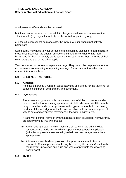a) all personal effects should be removed;

b) if they cannot be removed, the adult in charge should take action to make the situation safe (e.g. adjust the activity for the individual pupil or group):

**\_\_\_\_\_\_\_\_\_\_\_\_\_\_\_\_\_\_\_\_\_\_\_\_\_\_\_\_\_\_\_\_\_\_\_\_\_\_\_\_\_\_\_\_\_\_\_\_\_\_\_\_\_\_\_\_\_\_\_\_\_\_\_\_\_\_\_**

c) if the situation cannot be made safe, the individual pupil should not actively participate.

Some pupils may need to wear personal effects such as glasses or hearing aids. In these circumstances, the adult in charge should determine whether it is more hazardous for them to actively participate wearing such items, both in terms of their own safety and that of the other pupils.

Teachers must not remove or replace earrings. They cannot be responsible for the consequences of removing or replacing earrings. Parents cannot transfer this responsibility to teachers.

#### <span id="page-8-0"></span>**5.0 SPECIALIST ACTIVITIES**

#### **5.1 Athletics**

Athletics embraces a range of tasks, activities and events for the teaching of coaching children in both primary and secondary.

#### **5.2 Gymnastics**

The essence of gymnastics is the development of skilled movement under control, on the floor and using apparatus. A child, who learns to lift correctly, carry, assemble and check apparatus in the gymnasium or hall, is acquiring fundamental knowledge about safe practice which will translate in a general way to safe and competent movement in the wider environment.

A variety of different forms of gymnastics have been developed, however they are largely divided into two groups;

- a) A thematic approach in which tasks are set to which varied individual responses are made and for which support is not generally applicable. (With this approach a teacher will give help and encouragement where appropriate)
- b) A formal approach where provision of support in some activities is essential. (This approach should only be used by the teacher/coach with the relevant knowledge and skills and where appropriate the governing body award)

#### **5.3 Rugby**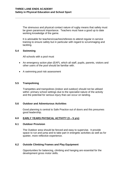The strenuous and physical contact nature of rugby means that safety must be given paramount importance. Teachers must have a good up to date working knowledge of the game.

**\_\_\_\_\_\_\_\_\_\_\_\_\_\_\_\_\_\_\_\_\_\_\_\_\_\_\_\_\_\_\_\_\_\_\_\_\_\_\_\_\_\_\_\_\_\_\_\_\_\_\_\_\_\_\_\_\_\_\_\_\_\_\_\_\_\_\_**

It is advisable for teachers/coaches/referees to attend regular in-service training to ensure safety but in particular with regard to scrummaging and tackling.

#### **5.4 Swimming**

All schools with a pool must

- An emergency action plan (EAP), which all staff, pupils, parents, visitors and other users of the pool should be familiar with.
- A swimming pool risk assessment

#### **5.5 Trampolining**

Trampettes and trampolines (indoor and outdoor) should not be utilised within primary school settings due to the specialist nature of the activity and the potential for serious injury that can occur on landing.

#### **5.6 Outdoor and Adventurous Activities**

Good planning is central to Safe Practice out of doors and this presumes good leadership.

#### <span id="page-9-0"></span>**6.0 EARLY YEARS PHYSICAL ACTIVITY (3 – 5 yrs)**

#### **6.1 Outdoor Provision**

The Outdoor area should be fenced and easy to supervise. It provide space to run and jump and to take part in energetic activities as well as for quieter, more reflective experience.

#### **6.2 Outside Climbing Frames and Play Equipment**

Opportunities for balancing, climbing and hanging are essential for the development gross motor skills.